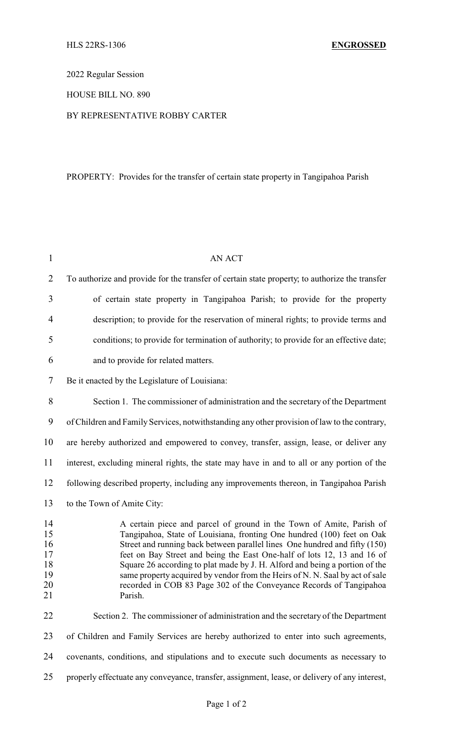2022 Regular Session

### HOUSE BILL NO. 890

### BY REPRESENTATIVE ROBBY CARTER

# PROPERTY: Provides for the transfer of certain state property in Tangipahoa Parish

| $\mathbf{1}$                                 | AN ACT                                                                                                                                                                                                                                                                                                                                                                                                                                                                                                                                                   |
|----------------------------------------------|----------------------------------------------------------------------------------------------------------------------------------------------------------------------------------------------------------------------------------------------------------------------------------------------------------------------------------------------------------------------------------------------------------------------------------------------------------------------------------------------------------------------------------------------------------|
| $\overline{2}$                               | To authorize and provide for the transfer of certain state property; to authorize the transfer                                                                                                                                                                                                                                                                                                                                                                                                                                                           |
| 3                                            | of certain state property in Tangipahoa Parish; to provide for the property                                                                                                                                                                                                                                                                                                                                                                                                                                                                              |
| $\overline{4}$                               | description; to provide for the reservation of mineral rights; to provide terms and                                                                                                                                                                                                                                                                                                                                                                                                                                                                      |
| 5                                            | conditions; to provide for termination of authority; to provide for an effective date;                                                                                                                                                                                                                                                                                                                                                                                                                                                                   |
| 6                                            | and to provide for related matters.                                                                                                                                                                                                                                                                                                                                                                                                                                                                                                                      |
| 7                                            | Be it enacted by the Legislature of Louisiana:                                                                                                                                                                                                                                                                                                                                                                                                                                                                                                           |
| 8                                            | Section 1. The commissioner of administration and the secretary of the Department                                                                                                                                                                                                                                                                                                                                                                                                                                                                        |
| 9                                            | of Children and Family Services, notwithstanding any other provision of law to the contrary,                                                                                                                                                                                                                                                                                                                                                                                                                                                             |
| 10                                           | are hereby authorized and empowered to convey, transfer, assign, lease, or deliver any                                                                                                                                                                                                                                                                                                                                                                                                                                                                   |
| 11                                           | interest, excluding mineral rights, the state may have in and to all or any portion of the                                                                                                                                                                                                                                                                                                                                                                                                                                                               |
| 12                                           | following described property, including any improvements thereon, in Tangipahoa Parish                                                                                                                                                                                                                                                                                                                                                                                                                                                                   |
| 13                                           | to the Town of Amite City:                                                                                                                                                                                                                                                                                                                                                                                                                                                                                                                               |
| 14<br>15<br>16<br>17<br>18<br>19<br>20<br>21 | A certain piece and parcel of ground in the Town of Amite, Parish of<br>Tangipahoa, State of Louisiana, fronting One hundred (100) feet on Oak<br>Street and running back between parallel lines One hundred and fifty (150)<br>feet on Bay Street and being the East One-half of lots 12, 13 and 16 of<br>Square 26 according to plat made by J. H. Alford and being a portion of the<br>same property acquired by vendor from the Heirs of N. N. Saal by act of sale<br>recorded in COB 83 Page 302 of the Conveyance Records of Tangipahoa<br>Parish. |
| 22                                           | Section 2. The commissioner of administration and the secretary of the Department                                                                                                                                                                                                                                                                                                                                                                                                                                                                        |
| 23                                           | of Children and Family Services are hereby authorized to enter into such agreements,                                                                                                                                                                                                                                                                                                                                                                                                                                                                     |
| 24                                           | covenants, conditions, and stipulations and to execute such documents as necessary to                                                                                                                                                                                                                                                                                                                                                                                                                                                                    |
| 25                                           | properly effectuate any conveyance, transfer, assignment, lease, or delivery of any interest,                                                                                                                                                                                                                                                                                                                                                                                                                                                            |